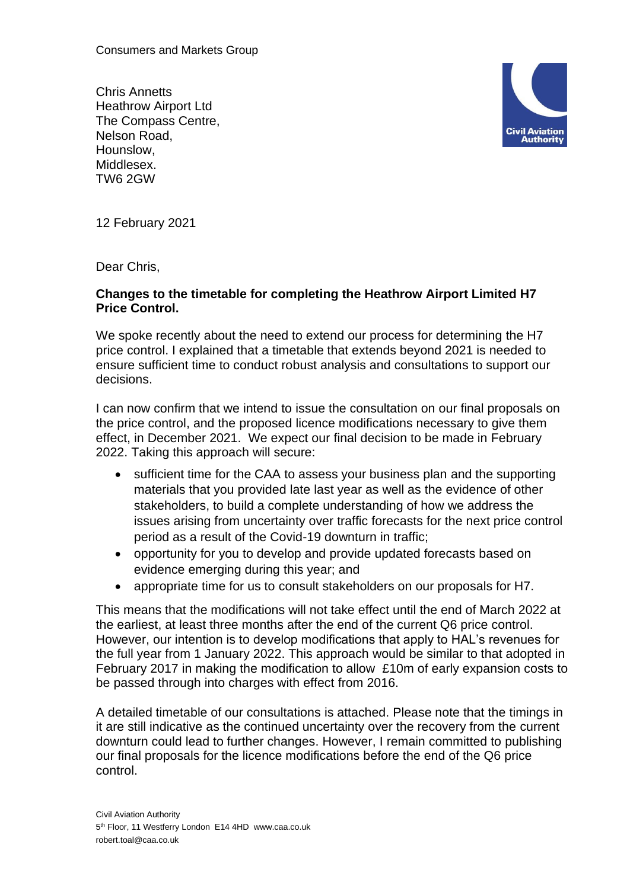Consumers and Markets Group

Chris Annetts Heathrow Airport Ltd The Compass Centre, Nelson Road, Hounslow, Middlesex. TW6 2GW



12 February 2021

Dear Chris,

## **Changes to the timetable for completing the Heathrow Airport Limited H7 Price Control.**

We spoke recently about the need to extend our process for determining the H7 price control. I explained that a timetable that extends beyond 2021 is needed to ensure sufficient time to conduct robust analysis and consultations to support our decisions.

I can now confirm that we intend to issue the consultation on our final proposals on the price control, and the proposed licence modifications necessary to give them effect, in December 2021. We expect our final decision to be made in February 2022. Taking this approach will secure:

- sufficient time for the CAA to assess your business plan and the supporting materials that you provided late last year as well as the evidence of other stakeholders, to build a complete understanding of how we address the issues arising from uncertainty over traffic forecasts for the next price control period as a result of the Covid-19 downturn in traffic;
- opportunity for you to develop and provide updated forecasts based on evidence emerging during this year; and
- appropriate time for us to consult stakeholders on our proposals for H7.

This means that the modifications will not take effect until the end of March 2022 at the earliest, at least three months after the end of the current Q6 price control. However, our intention is to develop modifications that apply to HAL's revenues for the full year from 1 January 2022. This approach would be similar to that adopted in February 2017 in making the modification to allow £10m of early expansion costs to be passed through into charges with effect from 2016.

A detailed timetable of our consultations is attached. Please note that the timings in it are still indicative as the continued uncertainty over the recovery from the current downturn could lead to further changes. However, I remain committed to publishing our final proposals for the licence modifications before the end of the Q6 price control.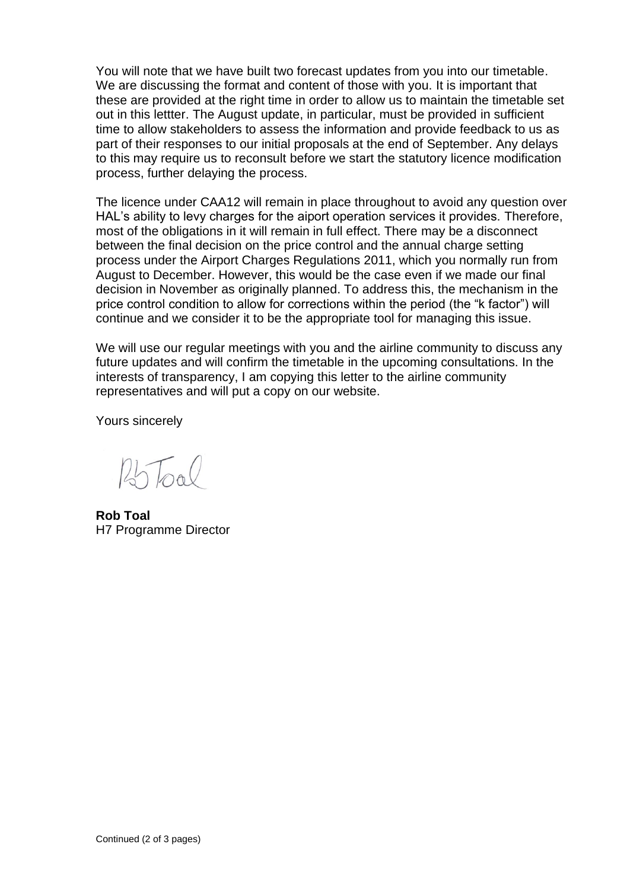You will note that we have built two forecast updates from you into our timetable. We are discussing the format and content of those with you. It is important that these are provided at the right time in order to allow us to maintain the timetable set out in this lettter. The August update, in particular, must be provided in sufficient time to allow stakeholders to assess the information and provide feedback to us as part of their responses to our initial proposals at the end of September. Any delays to this may require us to reconsult before we start the statutory licence modification process, further delaying the process.

The licence under CAA12 will remain in place throughout to avoid any question over HAL's ability to levy charges for the aiport operation services it provides. Therefore, most of the obligations in it will remain in full effect. There may be a disconnect between the final decision on the price control and the annual charge setting process under the Airport Charges Regulations 2011, which you normally run from August to December. However, this would be the case even if we made our final decision in November as originally planned. To address this, the mechanism in the price control condition to allow for corrections within the period (the "k factor") will continue and we consider it to be the appropriate tool for managing this issue.

We will use our regular meetings with you and the airline community to discuss any future updates and will confirm the timetable in the upcoming consultations. In the interests of transparency, I am copying this letter to the airline community representatives and will put a copy on our website.

Yours sincerely

 $25\text{TeV}$ 

**Rob Toal** H7 Programme Director